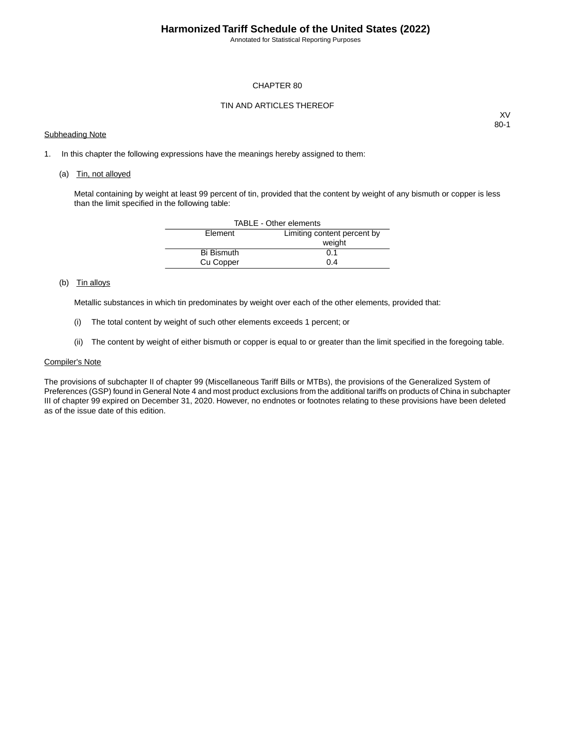## **Harmonized Tariff Schedule of the United States (2022)**

Annotated for Statistical Reporting Purposes

## CHAPTER 80

## TIN AND ARTICLES THEREOF

#### Subheading Note

XV 80-1

1. In this chapter the following expressions have the meanings hereby assigned to them:

#### (a) Tin, not alloyed

Metal containing by weight at least 99 percent of tin, provided that the content by weight of any bismuth or copper is less than the limit specified in the following table:

| TABLE - Other elements |                             |  |  |  |  |  |
|------------------------|-----------------------------|--|--|--|--|--|
| Element                | Limiting content percent by |  |  |  |  |  |
|                        | weight                      |  |  |  |  |  |
| <b>Bi Bismuth</b>      | 0.1                         |  |  |  |  |  |
| Cu Copper              | 0.4                         |  |  |  |  |  |

## (b) Tin alloys

Metallic substances in which tin predominates by weight over each of the other elements, provided that:

- (i) The total content by weight of such other elements exceeds 1 percent; or
- (ii) The content by weight of either bismuth or copper is equal to or greater than the limit specified in the foregoing table.

### Compiler's Note

The provisions of subchapter II of chapter 99 (Miscellaneous Tariff Bills or MTBs), the provisions of the Generalized System of Preferences (GSP) found in General Note 4 and most product exclusions from the additional tariffs on products of China in subchapter III of chapter 99 expired on December 31, 2020. However, no endnotes or footnotes relating to these provisions have been deleted as of the issue date of this edition.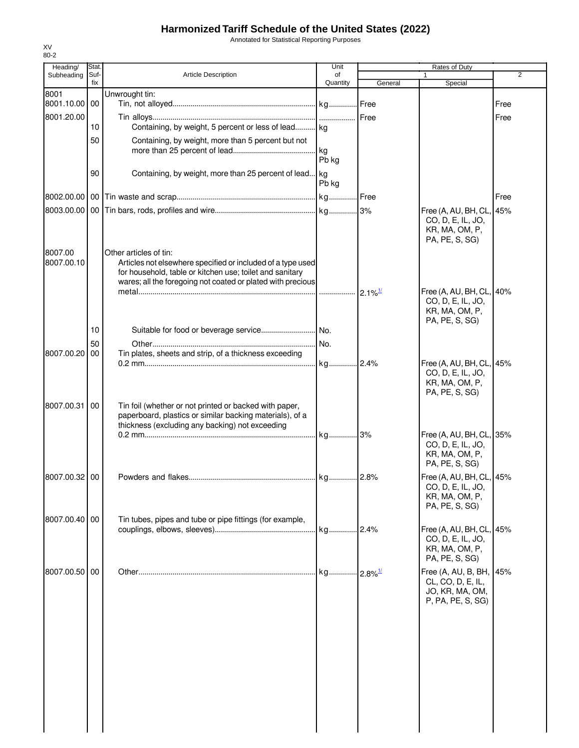# **Harmonized Tariff Schedule of the United States (2022)**

Annotated for Statistical Reporting Purposes

| Heading/      | Stat.       |                                                                                                                         | Unit                    | Rates of Duty |                                                                                      |      |
|---------------|-------------|-------------------------------------------------------------------------------------------------------------------------|-------------------------|---------------|--------------------------------------------------------------------------------------|------|
| Subheading    | Suf-<br>fix | Article Description                                                                                                     | οf<br>Quantity          | General       | Special                                                                              | 2    |
| 8001          |             | Unwrought tin:                                                                                                          |                         |               |                                                                                      |      |
| 8001.10.00 00 |             |                                                                                                                         |                         |               |                                                                                      | Free |
| 8001.20.00    |             |                                                                                                                         |                         | <b>Free</b>   |                                                                                      | Free |
|               | 10          | Containing, by weight, 5 percent or less of lead kg                                                                     |                         |               |                                                                                      |      |
|               | 50          | Containing, by weight, more than 5 percent but not                                                                      |                         |               |                                                                                      |      |
|               |             |                                                                                                                         | . kg                    |               |                                                                                      |      |
|               |             |                                                                                                                         | Pb kg                   |               |                                                                                      |      |
|               | 90          | Containing, by weight, more than 25 percent of lead kg                                                                  |                         |               |                                                                                      |      |
|               |             |                                                                                                                         | Pb kg                   |               |                                                                                      |      |
|               |             |                                                                                                                         |                         |               |                                                                                      | Free |
|               |             |                                                                                                                         |                         |               | Free (A, AU, BH, CL, 45%<br>CO, D, E, IL, JO,<br>KR, MA, OM, P,<br>PA, PE, S, SG)    |      |
| 8007.00       |             | Other articles of tin:                                                                                                  |                         |               |                                                                                      |      |
| 8007.00.10    |             | Articles not elsewhere specified or included of a type used<br>for household, table or kitchen use; toilet and sanitary |                         |               |                                                                                      |      |
|               |             | wares; all the foregoing not coated or plated with precious                                                             |                         |               |                                                                                      |      |
|               |             |                                                                                                                         |                         |               | Free (A, AU, BH, CL, 40%                                                             |      |
|               |             |                                                                                                                         |                         |               | CO, D, E, IL, JO,<br>KR, MA, OM, P,                                                  |      |
|               | 10          |                                                                                                                         |                         |               | PA, PE, S, SG)                                                                       |      |
|               | 50          |                                                                                                                         | No.                     |               |                                                                                      |      |
| 8007.00.20    | 00          | Tin plates, sheets and strip, of a thickness exceeding                                                                  |                         |               |                                                                                      |      |
|               |             |                                                                                                                         |                         |               | Free (A, AU, BH, CL, 45%                                                             |      |
| 8007.00.31    | 00          | Tin foil (whether or not printed or backed with paper,                                                                  |                         |               | CO, D, E, IL, JO,<br>KR, MA, OM, P,<br>PA, PE, S, SG)                                |      |
|               |             | paperboard, plastics or similar backing materials), of a                                                                |                         |               |                                                                                      |      |
|               |             | thickness (excluding any backing) not exceeding                                                                         |                         |               |                                                                                      |      |
|               |             |                                                                                                                         |                         |               | Free (A, AU, BH, CL, 35%<br>CO, D, E, IL, JO,<br>KR, MA, OM, P,<br>PA, PE, S, SG)    |      |
| 8007.00.32 00 |             |                                                                                                                         |                         |               | Free (A, AU, BH, CL, 45%                                                             |      |
|               |             |                                                                                                                         |                         |               | CO, D, E, IL, JO,<br>KR, MA, OM, P,<br>PA, PE, S, SG)                                |      |
| 8007.00.40 00 |             | Tin tubes, pipes and tube or pipe fittings (for example,                                                                |                         |               |                                                                                      |      |
|               |             |                                                                                                                         |                         |               | Free (A, AU, BH, CL, 45%<br>CO, D, E, IL, JO,<br>KR, MA, OM, P,<br>PA, PE, S, SG)    |      |
| 8007.00.50 00 |             |                                                                                                                         | . kg 2.8% <sup>1/</sup> |               | Free (A, AU, B, BH, 45%<br>CL, CO, D, E, IL,<br>JO, KR, MA, OM,<br>P, PA, PE, S, SG) |      |
|               |             |                                                                                                                         |                         |               |                                                                                      |      |
|               |             |                                                                                                                         |                         |               |                                                                                      |      |
|               |             |                                                                                                                         |                         |               |                                                                                      |      |
|               |             |                                                                                                                         |                         |               |                                                                                      |      |
|               |             |                                                                                                                         |                         |               |                                                                                      |      |

XV 80-2